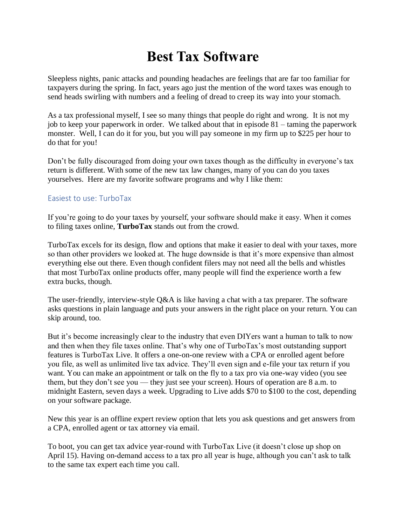## **Best Tax Software**

Sleepless nights, panic attacks and pounding headaches are feelings that are far too familiar for taxpayers during the spring. In fact, years ago just the mention of the word taxes was enough to send heads swirling with numbers and a feeling of dread to creep its way into your stomach.

As a tax professional myself, I see so many things that people do right and wrong. It is not my job to keep your paperwork in order. We talked about that in episode 81 – taming the paperwork monster. Well, I can do it for you, but you will pay someone in my firm up to \$225 per hour to do that for you!

Don't be fully discouraged from doing your own taxes though as the difficulty in everyone's tax return is different. With some of the new tax law changes, many of you can do you taxes yourselves. Here are my favorite software programs and why I like them:

## Easiest to use: TurboTax

If you're going to do your taxes by yourself, your software should make it easy. When it comes to filing taxes online, **TurboTax** stands out from the crowd.

TurboTax excels for its design, flow and options that make it easier to deal with your taxes, more so than other providers we looked at. The huge downside is that it's more expensive than almost everything else out there. Even though confident filers may not need all the bells and whistles that most TurboTax online products offer, many people will find the experience worth a few extra bucks, though.

The user-friendly, interview-style Q&A is like having a chat with a tax preparer. The software asks questions in plain language and puts your answers in the right place on your return. You can skip around, too.

But it's become increasingly clear to the industry that even DIYers want a human to talk to now and then when they file taxes online. That's why one of TurboTax's most outstanding support features is TurboTax Live. It offers a one-on-one review with a CPA or enrolled agent before you file, as well as unlimited live tax advice. They'll even sign and e-file your tax return if you want. You can make an appointment or talk on the fly to a tax pro via one-way video (you see them, but they don't see you — they just see your screen). Hours of operation are 8 a.m. to midnight Eastern, seven days a week. Upgrading to Live adds \$70 to \$100 to the cost, depending on your software package.

New this year is an offline expert review option that lets you ask questions and get answers from a CPA, enrolled agent or tax attorney via email.

To boot, you can get tax advice year-round with TurboTax Live (it doesn't close up shop on April 15). Having on-demand access to a tax pro all year is huge, although you can't ask to talk to the same tax expert each time you call.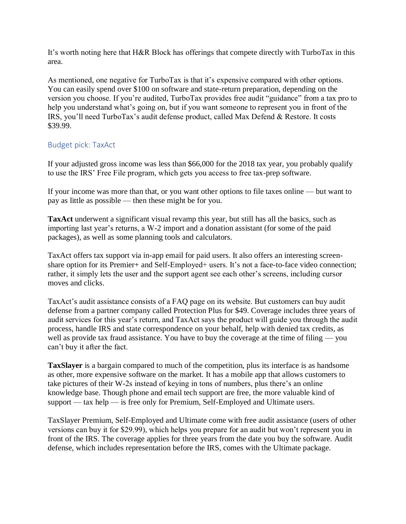It's worth noting here that H&R Block has offerings that compete directly with TurboTax in this area.

As mentioned, one negative for TurboTax is that it's expensive compared with other options. You can easily spend over \$100 on software and state-return preparation, depending on the version you choose. If you're audited, TurboTax provides free audit "guidance" from a tax pro to help you understand what's going on, but if you want someone to represent you in front of the IRS, you'll need TurboTax's audit defense product, called Max Defend & Restore. It costs \$39.99.

## Budget pick: TaxAct

If your adjusted gross income was less than \$66,000 for the 2018 tax year, you probably qualify to use the IRS' Free File program, which gets you access to free tax-prep software.

If your income was more than that, or you want other options to file taxes online — but want to pay as little as possible — then these might be for you.

**TaxAct** underwent a significant visual revamp this year, but still has all the basics, such as importing last year's returns, a W-2 import and a donation assistant (for some of the paid packages), as well as some planning tools and calculators.

TaxAct offers tax support via in-app email for paid users. It also offers an interesting screenshare option for its Premier+ and Self-Employed+ users. It's not a face-to-face video connection; rather, it simply lets the user and the support agent see each other's screens, including cursor moves and clicks.

TaxAct's audit assistance consists of a FAQ page on its website. But customers can buy audit defense from a partner company called Protection Plus for \$49. Coverage includes three years of audit services for this year's return, and TaxAct says the product will guide you through the audit process, handle IRS and state correspondence on your behalf, help with denied tax credits, as well as provide tax fraud assistance. You have to buy the coverage at the time of filing — you can't buy it after the fact.

**TaxSlayer** is a bargain compared to much of the competition, plus its interface is as handsome as other, more expensive software on the market. It has a mobile app that allows customers to take pictures of their W-2s instead of keying in tons of numbers, plus there's an online knowledge base. Though phone and email tech support are free, the more valuable kind of support — tax help — is free only for Premium, Self-Employed and Ultimate users.

TaxSlayer Premium, Self-Employed and Ultimate come with free audit assistance (users of other versions can buy it for \$29.99), which helps you prepare for an audit but won't represent you in front of the IRS. The coverage applies for three years from the date you buy the software. Audit defense, which includes representation before the IRS, comes with the Ultimate package.